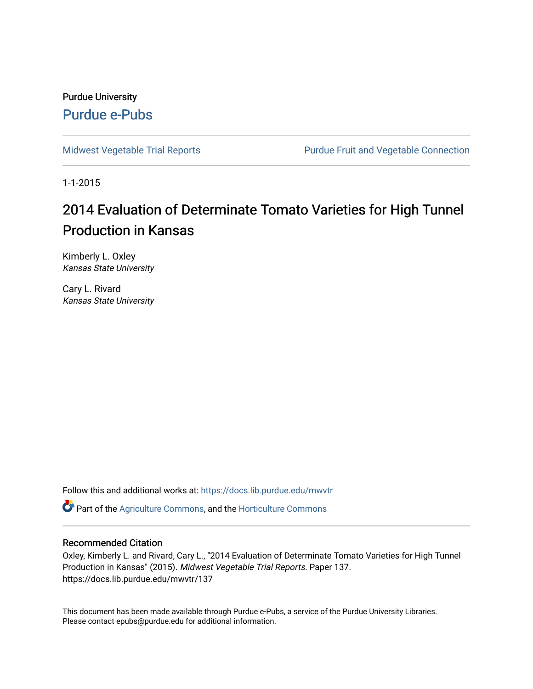Purdue University [Purdue e-Pubs](https://docs.lib.purdue.edu/)

[Midwest Vegetable Trial Reports](https://docs.lib.purdue.edu/mwvtr) **Purdue Fruit and Vegetable Connection** 

1-1-2015

## 2014 Evaluation of Determinate Tomato Varieties for High Tunnel Production in Kansas

Kimberly L. Oxley Kansas State University

Cary L. Rivard Kansas State University

Follow this and additional works at: [https://docs.lib.purdue.edu/mwvtr](https://docs.lib.purdue.edu/mwvtr?utm_source=docs.lib.purdue.edu%2Fmwvtr%2F137&utm_medium=PDF&utm_campaign=PDFCoverPages) 

Part of the [Agriculture Commons](http://network.bepress.com/hgg/discipline/1076?utm_source=docs.lib.purdue.edu%2Fmwvtr%2F137&utm_medium=PDF&utm_campaign=PDFCoverPages), and the [Horticulture Commons](http://network.bepress.com/hgg/discipline/105?utm_source=docs.lib.purdue.edu%2Fmwvtr%2F137&utm_medium=PDF&utm_campaign=PDFCoverPages) 

#### Recommended Citation

Oxley, Kimberly L. and Rivard, Cary L., "2014 Evaluation of Determinate Tomato Varieties for High Tunnel Production in Kansas" (2015). Midwest Vegetable Trial Reports. Paper 137. https://docs.lib.purdue.edu/mwvtr/137

This document has been made available through Purdue e-Pubs, a service of the Purdue University Libraries. Please contact epubs@purdue.edu for additional information.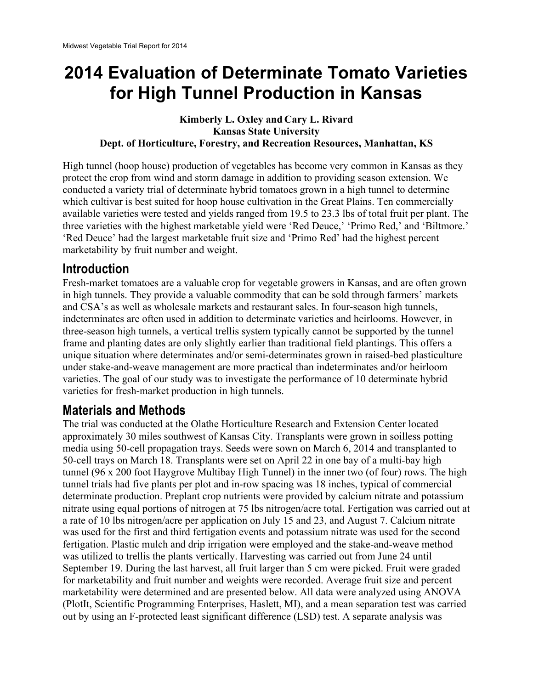# **2014 Evaluation of Determinate Tomato Varieties for High Tunnel Production in Kansas**

#### **Kimberly L. Oxley and Cary L. Rivard Kansas State University Dept. of Horticulture, Forestry, and Recreation Resources, Manhattan, KS**

High tunnel (hoop house) production of vegetables has become very common in Kansas as they protect the crop from wind and storm damage in addition to providing season extension. We conducted a variety trial of determinate hybrid tomatoes grown in a high tunnel to determine which cultivar is best suited for hoop house cultivation in the Great Plains. Ten commercially available varieties were tested and yields ranged from 19.5 to 23.3 lbs of total fruit per plant. The three varieties with the highest marketable yield were 'Red Deuce,' 'Primo Red,' and 'Biltmore.' 'Red Deuce' had the largest marketable fruit size and 'Primo Red' had the highest percent marketability by fruit number and weight.

#### **Introduction**

Fresh-market tomatoes are a valuable crop for vegetable growers in Kansas, and are often grown in high tunnels. They provide a valuable commodity that can be sold through farmers' markets and CSA's as well as wholesale markets and restaurant sales. In four-season high tunnels, indeterminates are often used in addition to determinate varieties and heirlooms. However, in three-season high tunnels, a vertical trellis system typically cannot be supported by the tunnel frame and planting dates are only slightly earlier than traditional field plantings. This offers a unique situation where determinates and/or semi-determinates grown in raised-bed plasticulture under stake-and-weave management are more practical than indeterminates and/or heirloom varieties. The goal of our study was to investigate the performance of 10 determinate hybrid varieties for fresh-market production in high tunnels.

## **Materials and Methods**

The trial was conducted at the Olathe Horticulture Research and Extension Center located approximately 30 miles southwest of Kansas City. Transplants were grown in soilless potting media using 50-cell propagation trays. Seeds were sown on March 6, 2014 and transplanted to 50-cell trays on March 18. Transplants were set on April 22 in one bay of a multi-bay high tunnel (96 x 200 foot Haygrove Multibay High Tunnel) in the inner two (of four) rows. The high tunnel trials had five plants per plot and in-row spacing was 18 inches, typical of commercial determinate production. Preplant crop nutrients were provided by calcium nitrate and potassium nitrate using equal portions of nitrogen at 75 lbs nitrogen/acre total. Fertigation was carried out at a rate of 10 lbs nitrogen/acre per application on July 15 and 23, and August 7. Calcium nitrate was used for the first and third fertigation events and potassium nitrate was used for the second fertigation. Plastic mulch and drip irrigation were employed and the stake-and-weave method was utilized to trellis the plants vertically. Harvesting was carried out from June 24 until September 19. During the last harvest, all fruit larger than 5 cm were picked. Fruit were graded for marketability and fruit number and weights were recorded. Average fruit size and percent marketability were determined and are presented below. All data were analyzed using ANOVA (PlotIt, Scientific Programming Enterprises, Haslett, MI), and a mean separation test was carried out by using an F-protected least significant difference (LSD) test. A separate analysis was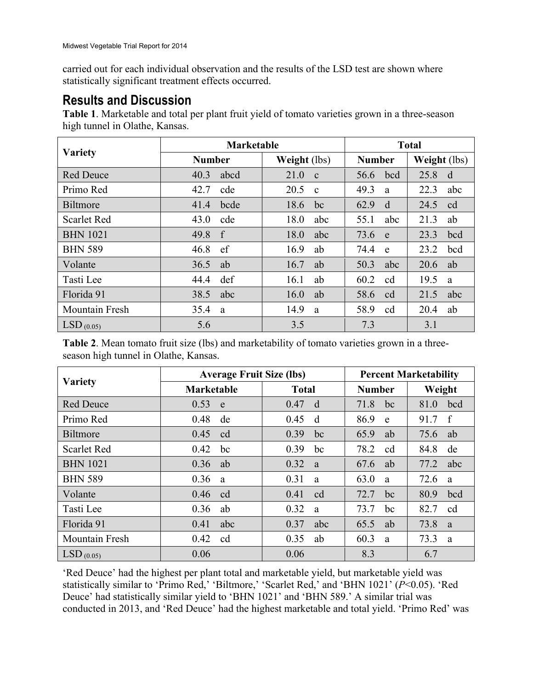statistically significant treatment effects occurred. carried out for each individual observation and the results of the LSD test are shown where

### **Results and Discussion**

**Table 1**. Marketable and total per plant fruit yield of tomato varieties grown in a three-season high tunnel in Olathe, Kansas.

| <b>Variety</b>        | <b>Marketable</b> |              | <b>Total</b>  |              |
|-----------------------|-------------------|--------------|---------------|--------------|
|                       | <b>Number</b>     | Weight (lbs) | <b>Number</b> | Weight (lbs) |
| <b>Red Deuce</b>      | 40.3              | 21.0         | bcd           | 25.8         |
|                       | abcd              | $\mathbf{c}$ | 56.6          | d            |
| Primo Red             | 42.7              | 20.5         | 49.3          | 22.3         |
|                       | cde               | $\mathbf{c}$ | a             | abc          |
| <b>Biltmore</b>       | 41.4              | 18.6         | 62.9          | 24.5         |
|                       | bcde              | bc           | d             | cd           |
| <b>Scarlet Red</b>    | 43.0              | 18.0         | 55.1          | 21.3         |
|                       | cde               | abc          | abc           | ab           |
| <b>BHN</b> 1021       | 49.8              | 18.0         | 73.6          | 23.3         |
|                       | f                 | abc          | e             | bcd          |
| <b>BHN 589</b>        | ef                | 16.9         | 74.4          | 23.2         |
|                       | 46.8              | ab           | e             | bcd          |
| Volante               | 36.5              | 16.7         | 50.3          | 20.6         |
|                       | ab                | ab           | abc           | ab           |
| Tasti Lee             | def               | 16.1         | 60.2          | 19.5         |
|                       | 44.4              | ab           | cd            | a            |
| Florida 91            | 38.5              | 16.0         | 58.6          | 21.5         |
|                       | abc               | ab           | cd            | abc          |
| <b>Mountain Fresh</b> | 35.4              | 14.9         | 58.9          | 20.4         |
|                       | a                 | a            | cd            | ab           |
| $LSD_{(0.05)}$        | 5.6               | 3.5          | 7.3           | 3.1          |

**Table 2**. Mean tomato fruit size (lbs) and marketability of tomato varieties grown in a threeseason high tunnel in Olathe, Kansas.

| <b>Variety</b>        | <b>Average Fruit Size (lbs)</b> |              | <b>Percent Marketability</b> |        |
|-----------------------|---------------------------------|--------------|------------------------------|--------|
|                       | <b>Marketable</b>               | <b>Total</b> | <b>Number</b>                | Weight |
| <b>Red Deuce</b>      | 0.53                            | 0.47         | 71.8                         | bcd    |
|                       | e                               | d            | bc                           | 81.0   |
| Primo Red             | 0.48                            | 0.45         | 86.9                         | f      |
|                       | de                              | d            | e                            | 91.7   |
| <b>Biltmore</b>       | 0.45                            | 0.39         | 65.9                         | 75.6   |
|                       | cd                              | bc           | ab                           | ab     |
| <b>Scarlet Red</b>    | 0.42                            | 0.39         | 78.2                         | 84.8   |
|                       | bc                              | bc           | cd                           | de     |
| <b>BHN</b> 1021       | 0.36                            | 0.32         | 67.6                         | 77.2   |
|                       | ab                              | a            | ab                           | abc    |
| <b>BHN 589</b>        | 0.36                            | 0.31         | 63.0                         | 72.6   |
|                       | a                               | a            | a                            | a      |
| Volante               | 0.46                            | 0.41         | 72.7                         | 80.9   |
|                       | cd                              | cd           | bc                           | bcd    |
| Tasti Lee             | 0.36                            | 0.32         | 73.7                         | 82.7   |
|                       | ab                              | a            | bc                           | cd     |
| Florida 91            | 0.41                            | 0.37         | 65.5                         | 73.8   |
|                       | abc                             | abc          | ab                           | a      |
| <b>Mountain Fresh</b> | 0.42                            | 0.35         | 60.3                         | 73.3   |
|                       | cd                              | ab           | a                            | a      |
| $LSD_{(0.05)}$        | 0.06                            | 0.06         | 8.3                          | 6.7    |

'Red Deuce' had the highest per plant total and marketable yield, but marketable yield was statistically similar to 'Primo Red,' 'Biltmore,' 'Scarlet Red,' and 'BHN 1021' (*P*<0.05). 'Red Deuce' had statistically similar yield to 'BHN 1021' and 'BHN 589.' A similar trial was conducted in 2013, and 'Red Deuce' had the highest marketable and total yield. 'Primo Red' was